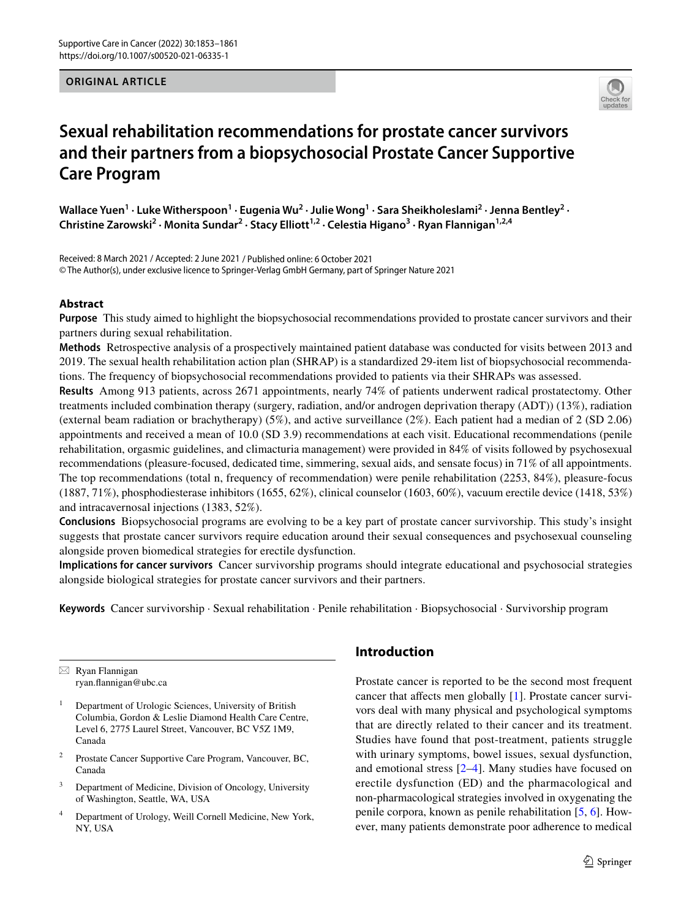# **ORIGINAL ARTICLE**



# **Sexual rehabilitation recommendations for prostate cancer survivors and their partners from a biopsychosocial Prostate Cancer Supportive Care Program**

Wallace Yuen<sup>1</sup> · Luke Witherspoon<sup>1</sup> · Eugenia Wu<sup>2</sup> · Julie Wong<sup>1</sup> · Sara Sheikholeslami<sup>2</sup> · Jenna Bentley<sup>2</sup> · Christine Zarowski<sup>2</sup> · Monita Sundar<sup>2</sup> · Stacy Elliott<sup>1,2</sup> · Celestia Higano<sup>3</sup> · Ryan Flannigan<sup>1,2,4</sup>

Received: 8 March 2021 / Accepted: 2 June 2021 / Published online: 6 October 2021 © The Author(s), under exclusive licence to Springer-Verlag GmbH Germany, part of Springer Nature 2021

# **Abstract**

**Purpose** This study aimed to highlight the biopsychosocial recommendations provided to prostate cancer survivors and their partners during sexual rehabilitation.

**Methods** Retrospective analysis of a prospectively maintained patient database was conducted for visits between 2013 and 2019. The sexual health rehabilitation action plan (SHRAP) is a standardized 29-item list of biopsychosocial recommendations. The frequency of biopsychosocial recommendations provided to patients via their SHRAPs was assessed.

**Results** Among 913 patients, across 2671 appointments, nearly 74% of patients underwent radical prostatectomy. Other treatments included combination therapy (surgery, radiation, and/or androgen deprivation therapy (ADT)) (13%), radiation (external beam radiation or brachytherapy) (5%), and active surveillance (2%). Each patient had a median of 2 (SD 2.06) appointments and received a mean of 10.0 (SD 3.9) recommendations at each visit. Educational recommendations (penile rehabilitation, orgasmic guidelines, and climacturia management) were provided in 84% of visits followed by psychosexual recommendations (pleasure-focused, dedicated time, simmering, sexual aids, and sensate focus) in 71% of all appointments. The top recommendations (total n, frequency of recommendation) were penile rehabilitation (2253, 84%), pleasure-focus (1887, 71%), phosphodiesterase inhibitors (1655, 62%), clinical counselor (1603, 60%), vacuum erectile device (1418, 53%) and intracavernosal injections (1383, 52%).

**Conclusions** Biopsychosocial programs are evolving to be a key part of prostate cancer survivorship. This study's insight suggests that prostate cancer survivors require education around their sexual consequences and psychosexual counseling alongside proven biomedical strategies for erectile dysfunction.

**Implications for cancer survivors** Cancer survivorship programs should integrate educational and psychosocial strategies alongside biological strategies for prostate cancer survivors and their partners.

**Keywords** Cancer survivorship · Sexual rehabilitation · Penile rehabilitation · Biopsychosocial · Survivorship program

 $\boxtimes$  Ryan Flannigan ryan.fannigan@ubc.ca

- <sup>1</sup> Department of Urologic Sciences, University of British Columbia, Gordon & Leslie Diamond Health Care Centre, Level 6, 2775 Laurel Street, Vancouver, BC V5Z 1M9, Canada
- <sup>2</sup> Prostate Cancer Supportive Care Program, Vancouver, BC, Canada
- <sup>3</sup> Department of Medicine, Division of Oncology, University of Washington, Seattle, WA, USA
- Department of Urology, Weill Cornell Medicine, New York, NY, USA

# **Introduction**

Prostate cancer is reported to be the second most frequent cancer that afects men globally [[1](#page-8-0)]. Prostate cancer survivors deal with many physical and psychological symptoms that are directly related to their cancer and its treatment. Studies have found that post-treatment, patients struggle with urinary symptoms, bowel issues, sexual dysfunction, and emotional stress [\[2–](#page-8-1)[4\]](#page-8-2). Many studies have focused on erectile dysfunction (ED) and the pharmacological and non-pharmacological strategies involved in oxygenating the penile corpora, known as penile rehabilitation [[5](#page-8-3), [6](#page-8-4)]. However, many patients demonstrate poor adherence to medical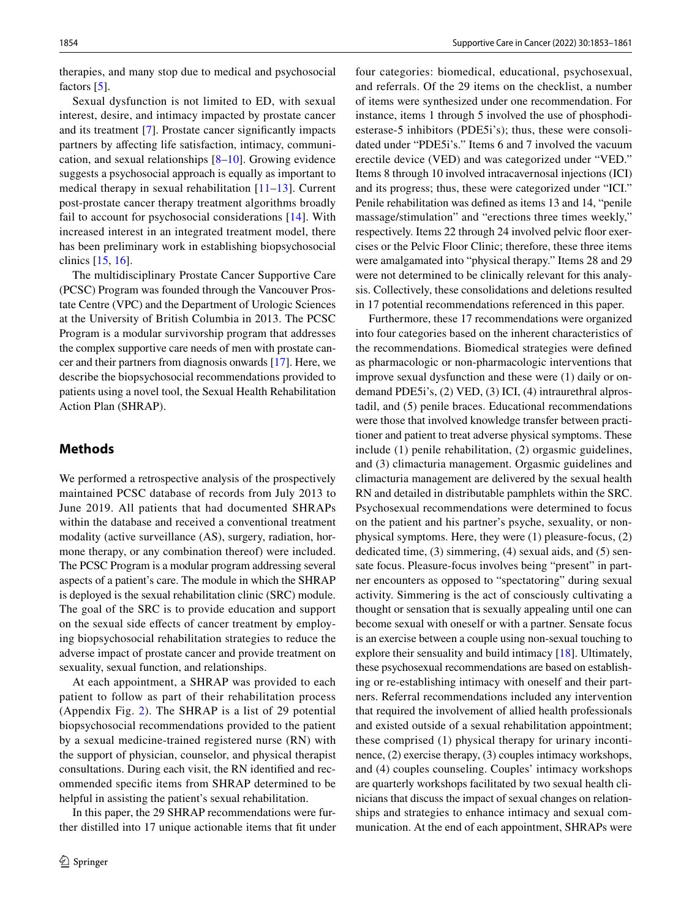therapies, and many stop due to medical and psychosocial factors [\[5](#page-8-3)].

Sexual dysfunction is not limited to ED, with sexual interest, desire, and intimacy impacted by prostate cancer and its treatment [[7\]](#page-8-5). Prostate cancer signifcantly impacts partners by afecting life satisfaction, intimacy, communication, and sexual relationships [[8–](#page-8-6)[10\]](#page-8-7). Growing evidence suggests a psychosocial approach is equally as important to medical therapy in sexual rehabilitation [[11–](#page-8-8)[13](#page-8-9)]. Current post-prostate cancer therapy treatment algorithms broadly fail to account for psychosocial considerations [[14\]](#page-8-10). With increased interest in an integrated treatment model, there has been preliminary work in establishing biopsychosocial clinics [\[15](#page-8-11), [16](#page-8-12)].

The multidisciplinary Prostate Cancer Supportive Care (PCSC) Program was founded through the Vancouver Prostate Centre (VPC) and the Department of Urologic Sciences at the University of British Columbia in 2013. The PCSC Program is a modular survivorship program that addresses the complex supportive care needs of men with prostate cancer and their partners from diagnosis onwards [\[17\]](#page-8-13). Here, we describe the biopsychosocial recommendations provided to patients using a novel tool, the Sexual Health Rehabilitation Action Plan (SHRAP).

# **Methods**

We performed a retrospective analysis of the prospectively maintained PCSC database of records from July 2013 to June 2019. All patients that had documented SHRAPs within the database and received a conventional treatment modality (active surveillance (AS), surgery, radiation, hormone therapy, or any combination thereof) were included. The PCSC Program is a modular program addressing several aspects of a patient's care. The module in which the SHRAP is deployed is the sexual rehabilitation clinic (SRC) module. The goal of the SRC is to provide education and support on the sexual side efects of cancer treatment by employing biopsychosocial rehabilitation strategies to reduce the adverse impact of prostate cancer and provide treatment on sexuality, sexual function, and relationships.

At each appointment, a SHRAP was provided to each patient to follow as part of their rehabilitation process (Appendix Fig. [2\)](#page-6-0). The SHRAP is a list of 29 potential biopsychosocial recommendations provided to the patient by a sexual medicine-trained registered nurse (RN) with the support of physician, counselor, and physical therapist consultations. During each visit, the RN identifed and recommended specifc items from SHRAP determined to be helpful in assisting the patient's sexual rehabilitation.

In this paper, the 29 SHRAP recommendations were further distilled into 17 unique actionable items that ft under four categories: biomedical, educational, psychosexual, and referrals. Of the 29 items on the checklist, a number of items were synthesized under one recommendation. For instance, items 1 through 5 involved the use of phosphodiesterase-5 inhibitors (PDE5i's); thus, these were consolidated under "PDE5i's." Items 6 and 7 involved the vacuum erectile device (VED) and was categorized under "VED." Items 8 through 10 involved intracavernosal injections (ICI) and its progress; thus, these were categorized under "ICI." Penile rehabilitation was defned as items 13 and 14, "penile massage/stimulation" and "erections three times weekly," respectively. Items 22 through 24 involved pelvic floor exercises or the Pelvic Floor Clinic; therefore, these three items were amalgamated into "physical therapy." Items 28 and 29 were not determined to be clinically relevant for this analysis. Collectively, these consolidations and deletions resulted in 17 potential recommendations referenced in this paper.

Furthermore, these 17 recommendations were organized into four categories based on the inherent characteristics of the recommendations. Biomedical strategies were defned as pharmacologic or non-pharmacologic interventions that improve sexual dysfunction and these were (1) daily or ondemand PDE5i's, (2) VED, (3) ICI, (4) intraurethral alprostadil, and (5) penile braces. Educational recommendations were those that involved knowledge transfer between practitioner and patient to treat adverse physical symptoms. These include (1) penile rehabilitation, (2) orgasmic guidelines, and (3) climacturia management. Orgasmic guidelines and climacturia management are delivered by the sexual health RN and detailed in distributable pamphlets within the SRC. Psychosexual recommendations were determined to focus on the patient and his partner's psyche, sexuality, or nonphysical symptoms. Here, they were (1) pleasure-focus, (2) dedicated time, (3) simmering, (4) sexual aids, and (5) sensate focus. Pleasure-focus involves being "present" in partner encounters as opposed to "spectatoring" during sexual activity. Simmering is the act of consciously cultivating a thought or sensation that is sexually appealing until one can become sexual with oneself or with a partner. Sensate focus is an exercise between a couple using non-sexual touching to explore their sensuality and build intimacy [[18\]](#page-8-14). Ultimately, these psychosexual recommendations are based on establishing or re-establishing intimacy with oneself and their partners. Referral recommendations included any intervention that required the involvement of allied health professionals and existed outside of a sexual rehabilitation appointment; these comprised (1) physical therapy for urinary incontinence, (2) exercise therapy, (3) couples intimacy workshops, and (4) couples counseling. Couples' intimacy workshops are quarterly workshops facilitated by two sexual health clinicians that discuss the impact of sexual changes on relationships and strategies to enhance intimacy and sexual communication. At the end of each appointment, SHRAPs were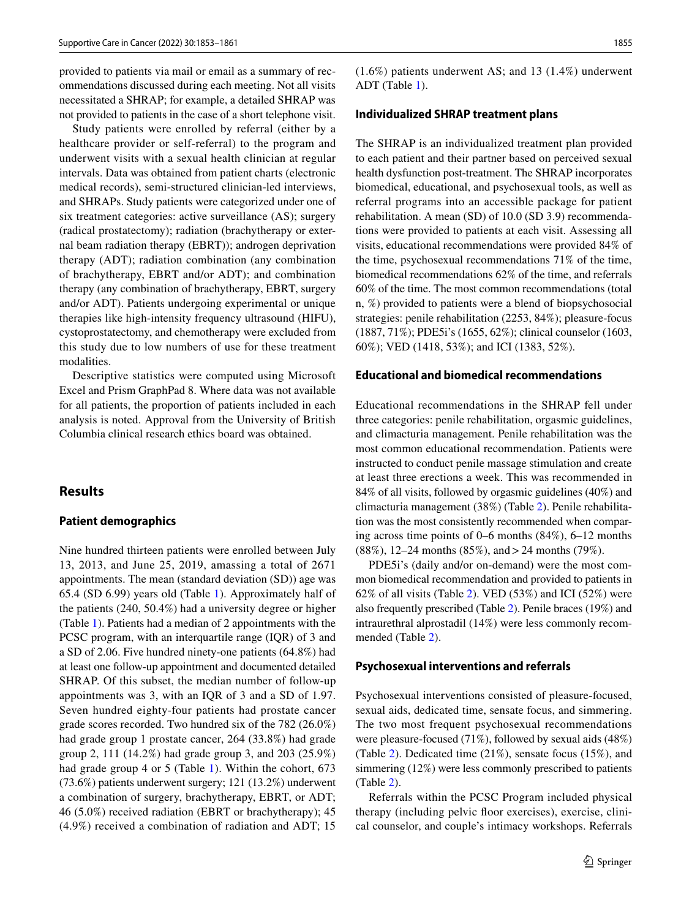provided to patients via mail or email as a summary of recommendations discussed during each meeting. Not all visits necessitated a SHRAP; for example, a detailed SHRAP was not provided to patients in the case of a short telephone visit.

Study patients were enrolled by referral (either by a healthcare provider or self-referral) to the program and underwent visits with a sexual health clinician at regular intervals. Data was obtained from patient charts (electronic medical records), semi-structured clinician-led interviews, and SHRAPs. Study patients were categorized under one of six treatment categories: active surveillance (AS); surgery (radical prostatectomy); radiation (brachytherapy or external beam radiation therapy (EBRT)); androgen deprivation therapy (ADT); radiation combination (any combination of brachytherapy, EBRT and/or ADT); and combination therapy (any combination of brachytherapy, EBRT, surgery and/or ADT). Patients undergoing experimental or unique therapies like high-intensity frequency ultrasound (HIFU), cystoprostatectomy, and chemotherapy were excluded from this study due to low numbers of use for these treatment modalities.

Descriptive statistics were computed using Microsoft Excel and Prism GraphPad 8. Where data was not available for all patients, the proportion of patients included in each analysis is noted. Approval from the University of British Columbia clinical research ethics board was obtained.

# **Results**

#### **Patient demographics**

Nine hundred thirteen patients were enrolled between July 13, 2013, and June 25, 2019, amassing a total of 2671 appointments. The mean (standard deviation (SD)) age was 65.4 (SD 6.99) years old (Table [1](#page-3-0)). Approximately half of the patients (240, 50.4%) had a university degree or higher (Table [1](#page-3-0)). Patients had a median of 2 appointments with the PCSC program, with an interquartile range (IQR) of 3 and a SD of 2.06. Five hundred ninety-one patients (64.8%) had at least one follow-up appointment and documented detailed SHRAP. Of this subset, the median number of follow-up appointments was 3, with an IQR of 3 and a SD of 1.97. Seven hundred eighty-four patients had prostate cancer grade scores recorded. Two hundred six of the 782 (26.0%) had grade group 1 prostate cancer, 264 (33.8%) had grade group 2, 111 (14.2%) had grade group 3, and 203 (25.9%) had grade group 4 or 5 (Table [1\)](#page-3-0). Within the cohort, 673 (73.6%) patients underwent surgery; 121 (13.2%) underwent a combination of surgery, brachytherapy, EBRT, or ADT; 46 (5.0%) received radiation (EBRT or brachytherapy); 45 (4.9%) received a combination of radiation and ADT; 15 (1.6%) patients underwent AS; and 13 (1.4%) underwent ADT (Table [1\)](#page-3-0).

#### **Individualized SHRAP treatment plans**

The SHRAP is an individualized treatment plan provided to each patient and their partner based on perceived sexual health dysfunction post-treatment. The SHRAP incorporates biomedical, educational, and psychosexual tools, as well as referral programs into an accessible package for patient rehabilitation. A mean (SD) of 10.0 (SD 3.9) recommendations were provided to patients at each visit. Assessing all visits, educational recommendations were provided 84% of the time, psychosexual recommendations 71% of the time, biomedical recommendations 62% of the time, and referrals 60% of the time. The most common recommendations (total n, %) provided to patients were a blend of biopsychosocial strategies: penile rehabilitation (2253, 84%); pleasure-focus (1887, 71%); PDE5i's (1655, 62%); clinical counselor (1603, 60%); VED (1418, 53%); and ICI (1383, 52%).

#### **Educational and biomedical recommendations**

Educational recommendations in the SHRAP fell under three categories: penile rehabilitation, orgasmic guidelines, and climacturia management. Penile rehabilitation was the most common educational recommendation. Patients were instructed to conduct penile massage stimulation and create at least three erections a week. This was recommended in 84% of all visits, followed by orgasmic guidelines (40%) and climacturia management (38%) (Table [2](#page-3-1)). Penile rehabilitation was the most consistently recommended when comparing across time points of 0–6 months (84%), 6–12 months (88%), 12–24 months (85%), and>24 months (79%).

PDE5i's (daily and/or on-demand) were the most common biomedical recommendation and provided to patients in 62% of all visits (Table [2\)](#page-3-1). VED (53%) and ICI (52%) were also frequently prescribed (Table [2](#page-3-1)). Penile braces (19%) and intraurethral alprostadil (14%) were less commonly recommended (Table [2](#page-3-1)).

#### **Psychosexual interventions and referrals**

Psychosexual interventions consisted of pleasure-focused, sexual aids, dedicated time, sensate focus, and simmering. The two most frequent psychosexual recommendations were pleasure-focused (71%), followed by sexual aids (48%) (Table [2](#page-3-1)). Dedicated time (21%), sensate focus (15%), and simmering (12%) were less commonly prescribed to patients (Table [2\)](#page-3-1).

Referrals within the PCSC Program included physical therapy (including pelvic foor exercises), exercise, clinical counselor, and couple's intimacy workshops. Referrals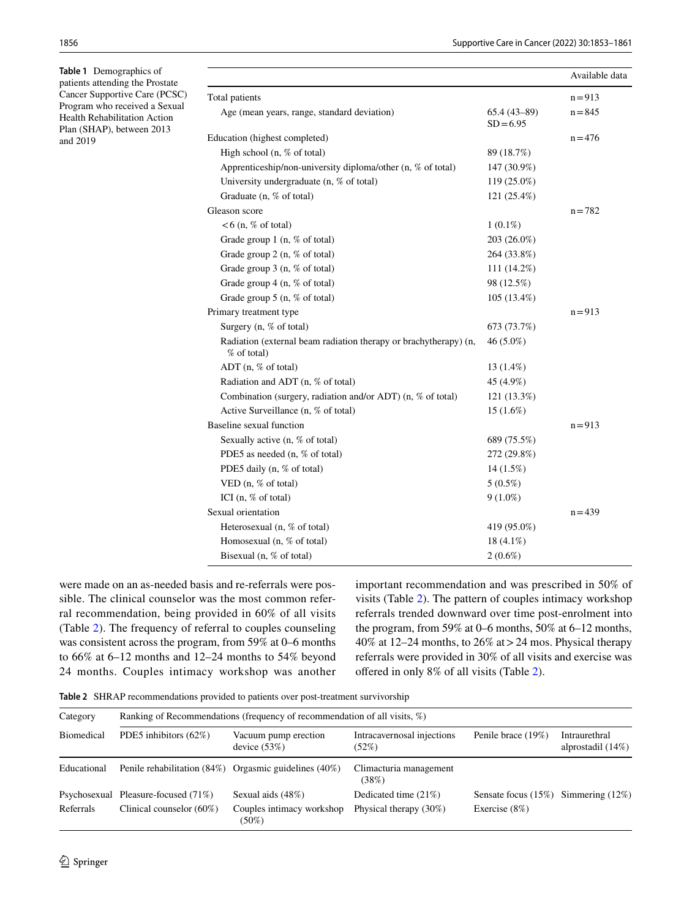<span id="page-3-0"></span>**Table 1** Demographics of patients attending the Prostate Cancer Supportive Care (PCSC) Program who received a Sexual Health Rehabilitation Action Plan (SHAP), between 2013 and 2019

|                                                                                 |                              | Available data |
|---------------------------------------------------------------------------------|------------------------------|----------------|
| Total patients                                                                  |                              | $n = 913$      |
| Age (mean years, range, standard deviation)                                     | $65.4(43-89)$<br>$SD = 6.95$ | $n = 845$      |
| Education (highest completed)                                                   |                              | $n = 476$      |
| High school (n, % of total)                                                     | 89 (18.7%)                   |                |
| Apprenticeship/non-university diploma/other (n, % of total)                     | 147 (30.9%)                  |                |
| University undergraduate (n, % of total)                                        | 119 (25.0%)                  |                |
| Graduate (n, % of total)                                                        | 121 (25.4%)                  |                |
| Gleason score                                                                   |                              | $n = 782$      |
| $< 6$ (n, % of total)                                                           | $1(0.1\%)$                   |                |
| Grade group 1 (n, % of total)                                                   | 203 (26.0%)                  |                |
| Grade group 2 (n, % of total)                                                   | 264 (33.8%)                  |                |
| Grade group 3 (n, % of total)                                                   | 111 (14.2%)                  |                |
| Grade group 4 (n, % of total)                                                   | 98 (12.5%)                   |                |
| Grade group 5 (n, % of total)                                                   | 105 (13.4%)                  |                |
| Primary treatment type                                                          |                              | $n = 913$      |
| Surgery $(n, %)$ of total)                                                      | 673 (73.7%)                  |                |
| Radiation (external beam radiation therapy or brachytherapy) (n,<br>% of total) | 46 (5.0%)                    |                |
| ADT (n, % of total)                                                             | 13 (1.4%)                    |                |
| Radiation and ADT (n, % of total)                                               | 45 (4.9%)                    |                |
| Combination (surgery, radiation and/or ADT) (n, % of total)                     | 121 (13.3%)                  |                |
| Active Surveillance (n, % of total)                                             | $15(1.6\%)$                  |                |
| Baseline sexual function                                                        |                              | $n = 913$      |
| Sexually active $(n, %)$ of total)                                              | 689 (75.5%)                  |                |
| PDE5 as needed (n, % of total)                                                  | 272 (29.8%)                  |                |
| PDE5 daily (n, % of total)                                                      | 14 (1.5%)                    |                |
| VED $(n, % of total)$                                                           | $5(0.5\%)$                   |                |
| ICI $(n, %)$ of total)                                                          | $9(1.0\%)$                   |                |
| Sexual orientation                                                              |                              | $n = 439$      |
| Heterosexual (n, % of total)                                                    | 419 (95.0%)                  |                |
| Homosexual (n, % of total)                                                      | 18 (4.1%)                    |                |
| Bisexual (n, % of total)                                                        | $2(0.6\%)$                   |                |

were made on an as-needed basis and re-referrals were possible. The clinical counselor was the most common referral recommendation, being provided in 60% of all visits (Table [2](#page-3-1)). The frequency of referral to couples counseling was consistent across the program, from 59% at 0–6 months to 66% at 6–12 months and 12–24 months to 54% beyond 24 months. Couples intimacy workshop was another important recommendation and was prescribed in 50% of visits (Table [2\)](#page-3-1). The pattern of couples intimacy workshop referrals trended downward over time post-enrolment into the program, from 59% at 0–6 months, 50% at 6–12 months, 40% at 12–24 months, to 26% at>24 mos. Physical therapy referrals were provided in 30% of all visits and exercise was offered in only 8% of all visits (Table [2](#page-3-1)).

<span id="page-3-1"></span>**Table 2** SHRAP recommendations provided to patients over post-treatment survivorship

| Category<br>Biomedical | Ranking of Recommendations (frequency of recommendation of all visits, %) |                                                           |                                     |                                           |                                       |  |
|------------------------|---------------------------------------------------------------------------|-----------------------------------------------------------|-------------------------------------|-------------------------------------------|---------------------------------------|--|
|                        | PDE5 inhibitors $(62\%)$                                                  | Vacuum pump erection<br>device $(53%)$                    | Intracavernosal injections<br>(52%) | Penile brace (19%)                        | Intraurethral<br>alprostadil $(14\%)$ |  |
| Educational            |                                                                           | Penile rehabilitation $(84%)$ Orgasmic guidelines $(40%)$ | Climacturia management<br>(38%)     |                                           |                                       |  |
|                        | Psychosexual Pleasure-focused (71%)                                       | Sexual aids (48%)                                         | Dedicated time $(21\%)$             | Sensate focus $(15\%)$ Simmering $(12\%)$ |                                       |  |
| Referrals              | Clinical counselor $(60\%)$                                               | Couples intimacy workshop<br>$(50\%)$                     | Physical therapy $(30\%)$           | Exercise $(8\%)$                          |                                       |  |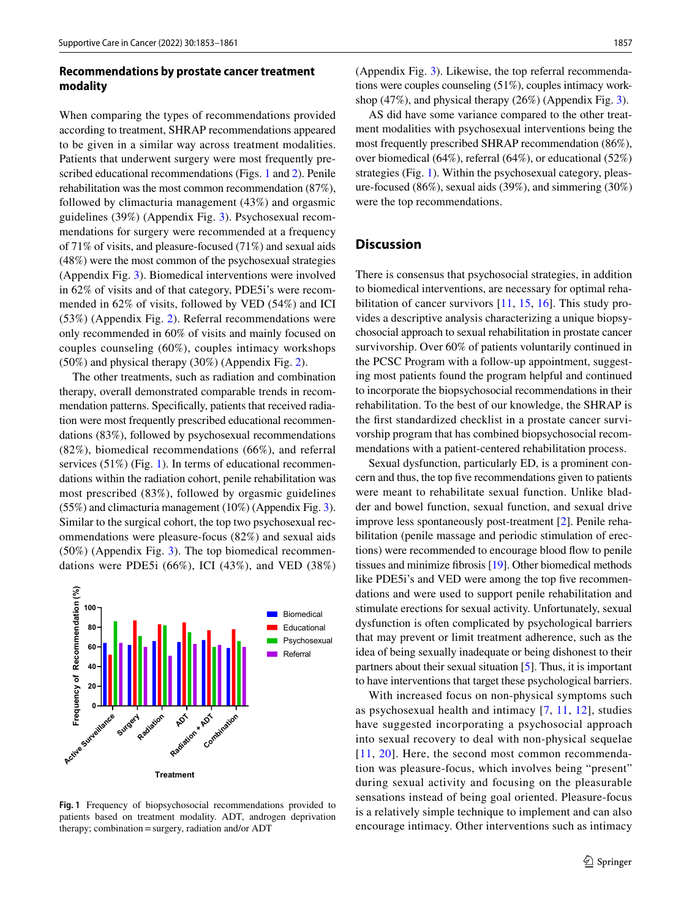# **Recommendations by prostate cancer treatment modality**

When comparing the types of recommendations provided according to treatment, SHRAP recommendations appeared to be given in a similar way across treatment modalities. Patients that underwent surgery were most frequently prescribed educational recommendations (Figs. [1](#page-4-0) and [2](#page-6-1)). Penile rehabilitation was the most common recommendation (87%), followed by climacturia management (43%) and orgasmic guidelines (39%) (Appendix Fig. [3\)](#page-6-0). Psychosexual recommendations for surgery were recommended at a frequency of 71% of visits, and pleasure-focused (71%) and sexual aids (48%) were the most common of the psychosexual strategies (Appendix Fig. [3](#page-6-0)). Biomedical interventions were involved in 62% of visits and of that category, PDE5i's were recommended in 62% of visits, followed by VED (54%) and ICI (53%) (Appendix Fig. [2](#page-6-0)). Referral recommendations were only recommended in 60% of visits and mainly focused on couples counseling (60%), couples intimacy workshops (50%) and physical therapy (30%) (Appendix Fig. [2](#page-6-0)).

The other treatments, such as radiation and combination therapy, overall demonstrated comparable trends in recommendation patterns. Specifcally, patients that received radiation were most frequently prescribed educational recommendations (83%), followed by psychosexual recommendations (82%), biomedical recommendations (66%), and referral services (51%) (Fig. [1\)](#page-4-0). In terms of educational recommendations within the radiation cohort, penile rehabilitation was most prescribed (83%), followed by orgasmic guidelines (55%) and climacturia management (10%) (Appendix Fig. [3](#page-6-0)). Similar to the surgical cohort, the top two psychosexual recommendations were pleasure-focus (82%) and sexual aids (50%) (Appendix Fig. [3\)](#page-6-0). The top biomedical recommendations were PDE5i (66%), ICI (43%), and VED (38%)



<span id="page-4-0"></span>**Fig. 1** Frequency of biopsychosocial recommendations provided to patients based on treatment modality. ADT, androgen deprivation therapy; combination=surgery, radiation and/or ADT

(Appendix Fig. [3\)](#page-6-0). Likewise, the top referral recommendations were couples counseling (51%), couples intimacy workshop (47%), and physical therapy (26%) (Appendix Fig. [3\)](#page-6-0).

AS did have some variance compared to the other treatment modalities with psychosexual interventions being the most frequently prescribed SHRAP recommendation (86%), over biomedical (64%), referral (64%), or educational (52%) strategies (Fig. [1\)](#page-4-0). Within the psychosexual category, pleasure-focused (86%), sexual aids (39%), and simmering (30%) were the top recommendations.

# **Discussion**

There is consensus that psychosocial strategies, in addition to biomedical interventions, are necessary for optimal reha-bilitation of cancer survivors [\[11](#page-8-8), [15](#page-8-11), [16\]](#page-8-12). This study provides a descriptive analysis characterizing a unique biopsychosocial approach to sexual rehabilitation in prostate cancer survivorship. Over 60% of patients voluntarily continued in the PCSC Program with a follow-up appointment, suggesting most patients found the program helpful and continued to incorporate the biopsychosocial recommendations in their rehabilitation. To the best of our knowledge, the SHRAP is the frst standardized checklist in a prostate cancer survivorship program that has combined biopsychosocial recommendations with a patient-centered rehabilitation process.

Sexual dysfunction, particularly ED, is a prominent concern and thus, the top fve recommendations given to patients were meant to rehabilitate sexual function. Unlike bladder and bowel function, sexual function, and sexual drive improve less spontaneously post-treatment [[2\]](#page-8-1). Penile rehabilitation (penile massage and periodic stimulation of erections) were recommended to encourage blood flow to penile tissues and minimize fbrosis [[19](#page-8-15)]. Other biomedical methods like PDE5i's and VED were among the top five recommendations and were used to support penile rehabilitation and stimulate erections for sexual activity. Unfortunately, sexual dysfunction is often complicated by psychological barriers that may prevent or limit treatment adherence, such as the idea of being sexually inadequate or being dishonest to their partners about their sexual situation [[5\]](#page-8-3). Thus, it is important to have interventions that target these psychological barriers.

With increased focus on non-physical symptoms such as psychosexual health and intimacy [[7](#page-8-5), [11,](#page-8-8) [12\]](#page-8-16), studies have suggested incorporating a psychosocial approach into sexual recovery to deal with non-physical sequelae [[11](#page-8-8), [20\]](#page-8-17). Here, the second most common recommendation was pleasure-focus, which involves being "present" during sexual activity and focusing on the pleasurable sensations instead of being goal oriented. Pleasure-focus is a relatively simple technique to implement and can also encourage intimacy. Other interventions such as intimacy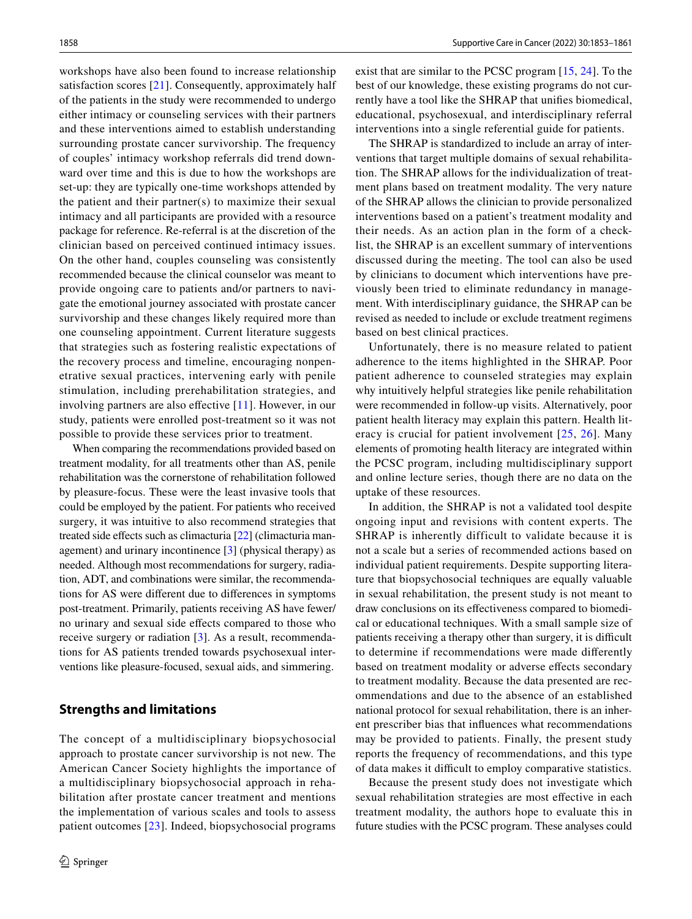workshops have also been found to increase relationship satisfaction scores [[21](#page-8-18)]. Consequently, approximately half of the patients in the study were recommended to undergo either intimacy or counseling services with their partners and these interventions aimed to establish understanding surrounding prostate cancer survivorship. The frequency of couples' intimacy workshop referrals did trend downward over time and this is due to how the workshops are set-up: they are typically one-time workshops attended by the patient and their partner(s) to maximize their sexual intimacy and all participants are provided with a resource package for reference. Re-referral is at the discretion of the clinician based on perceived continued intimacy issues. On the other hand, couples counseling was consistently recommended because the clinical counselor was meant to provide ongoing care to patients and/or partners to navigate the emotional journey associated with prostate cancer survivorship and these changes likely required more than one counseling appointment. Current literature suggests that strategies such as fostering realistic expectations of the recovery process and timeline, encouraging nonpenetrative sexual practices, intervening early with penile stimulation, including prerehabilitation strategies, and involving partners are also efective [[11\]](#page-8-8). However, in our study, patients were enrolled post-treatment so it was not possible to provide these services prior to treatment.

When comparing the recommendations provided based on treatment modality, for all treatments other than AS, penile rehabilitation was the cornerstone of rehabilitation followed by pleasure-focus. These were the least invasive tools that could be employed by the patient. For patients who received surgery, it was intuitive to also recommend strategies that treated side effects such as climacturia [\[22](#page-8-19)] (climacturia management) and urinary incontinence [[3\]](#page-8-20) (physical therapy) as needed. Although most recommendations for surgery, radiation, ADT, and combinations were similar, the recommendations for AS were diferent due to diferences in symptoms post-treatment. Primarily, patients receiving AS have fewer/ no urinary and sexual side efects compared to those who receive surgery or radiation [\[3](#page-8-20)]. As a result, recommendations for AS patients trended towards psychosexual interventions like pleasure-focused, sexual aids, and simmering.

## **Strengths and limitations**

The concept of a multidisciplinary biopsychosocial approach to prostate cancer survivorship is not new. The American Cancer Society highlights the importance of a multidisciplinary biopsychosocial approach in rehabilitation after prostate cancer treatment and mentions the implementation of various scales and tools to assess patient outcomes [[23](#page-8-21)]. Indeed, biopsychosocial programs exist that are similar to the PCSC program [[15,](#page-8-11) [24\]](#page-8-22). To the best of our knowledge, these existing programs do not currently have a tool like the SHRAP that unifes biomedical, educational, psychosexual, and interdisciplinary referral interventions into a single referential guide for patients.

The SHRAP is standardized to include an array of interventions that target multiple domains of sexual rehabilitation. The SHRAP allows for the individualization of treatment plans based on treatment modality. The very nature of the SHRAP allows the clinician to provide personalized interventions based on a patient's treatment modality and their needs. As an action plan in the form of a checklist, the SHRAP is an excellent summary of interventions discussed during the meeting. The tool can also be used by clinicians to document which interventions have previously been tried to eliminate redundancy in management. With interdisciplinary guidance, the SHRAP can be revised as needed to include or exclude treatment regimens based on best clinical practices.

Unfortunately, there is no measure related to patient adherence to the items highlighted in the SHRAP. Poor patient adherence to counseled strategies may explain why intuitively helpful strategies like penile rehabilitation were recommended in follow-up visits. Alternatively, poor patient health literacy may explain this pattern. Health literacy is crucial for patient involvement [[25,](#page-8-23) [26\]](#page-8-24). Many elements of promoting health literacy are integrated within the PCSC program, including multidisciplinary support and online lecture series, though there are no data on the uptake of these resources.

In addition, the SHRAP is not a validated tool despite ongoing input and revisions with content experts. The SHRAP is inherently difficult to validate because it is not a scale but a series of recommended actions based on individual patient requirements. Despite supporting literature that biopsychosocial techniques are equally valuable in sexual rehabilitation, the present study is not meant to draw conclusions on its efectiveness compared to biomedical or educational techniques. With a small sample size of patients receiving a therapy other than surgery, it is difficult to determine if recommendations were made diferently based on treatment modality or adverse efects secondary to treatment modality. Because the data presented are recommendations and due to the absence of an established national protocol for sexual rehabilitation, there is an inherent prescriber bias that infuences what recommendations may be provided to patients. Finally, the present study reports the frequency of recommendations, and this type of data makes it difcult to employ comparative statistics.

Because the present study does not investigate which sexual rehabilitation strategies are most efective in each treatment modality, the authors hope to evaluate this in future studies with the PCSC program. These analyses could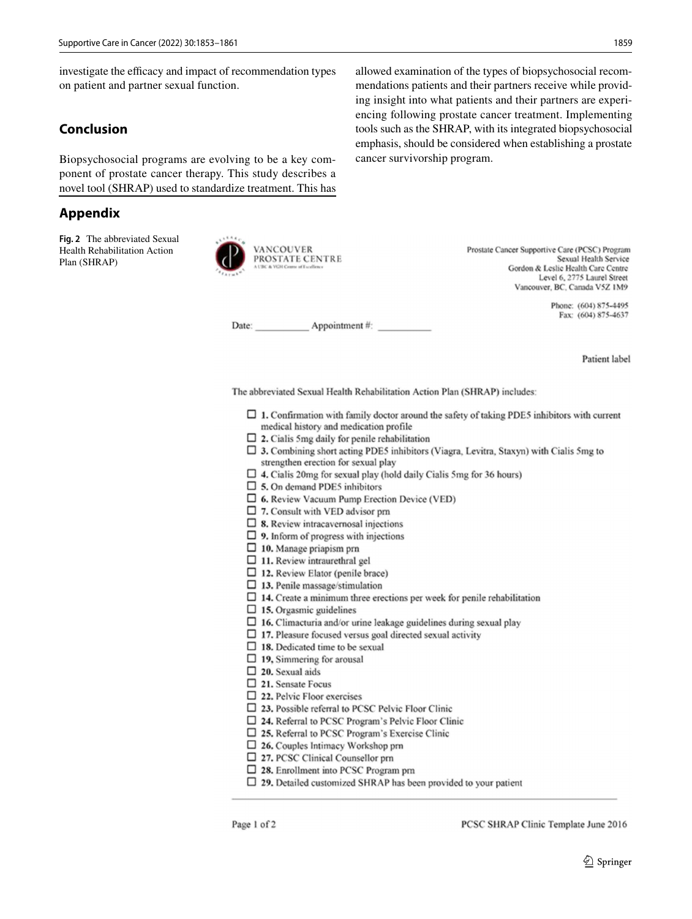investigate the efficacy and impact of recommendation types on patient and partner sexual function.

# **Conclusion**

Biopsychosocial programs are evolving to be a key component of prostate cancer therapy. This study describes a novel tool (SHRAP) used to standardize treatment. This has

# <span id="page-6-0"></span>**Appendix**

<span id="page-6-1"></span>**Fig. 2** The abbreviated Sexual Health Rehabilitation Action Plan (SHRAP)



allowed examination of the types of biopsychosocial recommendations patients and their partners receive while providing insight into what patients and their partners are experiencing following prostate cancer treatment. Implementing tools such as the SHRAP, with its integrated biopsychosocial emphasis, should be considered when establishing a prostate cancer survivorship program.

> Prostate Cancer Supportive Care (PCSC) Program Sexual Health Service Gordon & Leslie Health Care Centre Level 6, 2775 Laurel Street Vancouver, BC, Canada V5Z 1M9

> > Phone: (604) 875-4495 Fax: (604) 875-4637

Date: Appointment #:

Patient label

The abbreviated Sexual Health Rehabilitation Action Plan (SHRAP) includes:

- $\Box$  1. Confirmation with family doctor around the safety of taking PDE5 inhibitors with current medical history and medication profile
- $\Box$  2. Cialis 5mg daily for penile rehabilitation
- $\Box$  3. Combining short acting PDE5 inhibitors (Viagra, Levitra, Staxyn) with Cialis 5mg to strengthen erection for sexual play
- $\Box$  4. Cialis 20mg for sexual play (hold daily Cialis 5mg for 36 hours)
- $\Box$  5. On demand PDES inhibitors
- $\Box$  6. Review Vacuum Pump Erection Device (VED)
- $\Box$  7. Consult with VED advisor prn
- $\Box$  8. Review intracavernosal injections
- $\Box$  9. Inform of progress with injections
- $\Box$  10. Manage priapism prn
- $\Box$  11. Review intraurethral gel
- $\Box$  12. Review Elator (penile brace)
- $\Box$  13. Penile massage/stimulation
- $\Box$  14. Create a minimum three erections per week for penile rehabilitation
- $\Box$  15. Orgasmic guidelines
- $\Box$  16. Climacturia and/or urine leakage guidelines during sexual play
- $\Box$  17. Pleasure focused versus goal directed sexual activity
- $\Box$  18. Dedicated time to be sexual
- $\Box$  19, Simmering for arousal
- $\square$  20. Sexual aids
- □ 21. Sensate Focus
- $\Box$  22. Pelvic Floor exercises
- $\Box$  23. Possible referral to PCSC Pelvic Floor Clinic
- □ 24. Referral to PCSC Program's Pelvic Floor Clinic
- □ 25. Referral to PCSC Program's Exercise Clinic
- $\Box$  26. Couples Intimacy Workshop prn
- $\Box$  27. PCSC Clinical Counsellor prn
- $\Box$  28. Enrollment into PCSC Program pm
- $\square$  29. Detailed customized SHRAP has been provided to your patient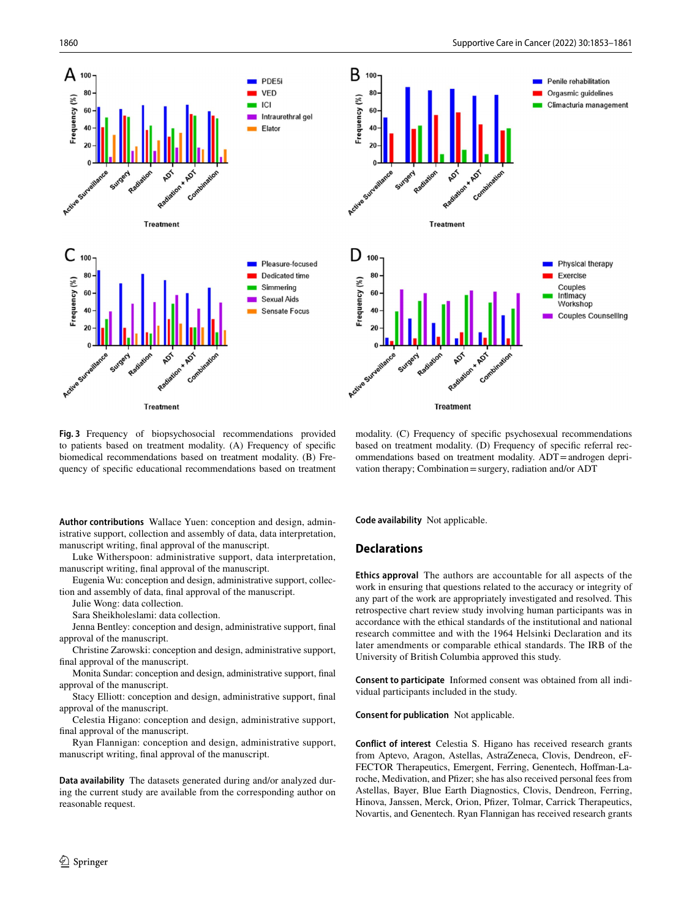

<span id="page-7-0"></span>**Fig. 3** Frequency of biopsychosocial recommendations provided to patients based on treatment modality. (A) Frequency of specifc biomedical recommendations based on treatment modality. (B) Frequency of specifc educational recommendations based on treatment

modality. (C) Frequency of specifc psychosexual recommendations based on treatment modality. (D) Frequency of specifc referral recommendations based on treatment modality. ADT=androgen deprivation therapy; Combination=surgery, radiation and/or ADT

**Author contributions** Wallace Yuen: conception and design, administrative support, collection and assembly of data, data interpretation, manuscript writing, fnal approval of the manuscript.

Luke Witherspoon: administrative support, data interpretation, manuscript writing, fnal approval of the manuscript.

Eugenia Wu: conception and design, administrative support, collection and assembly of data, fnal approval of the manuscript.

Julie Wong: data collection.

Sara Sheikholeslami: data collection.

Jenna Bentley: conception and design, administrative support, fnal approval of the manuscript.

Christine Zarowski: conception and design, administrative support, fnal approval of the manuscript.

Monita Sundar: conception and design, administrative support, fnal approval of the manuscript.

Stacy Elliott: conception and design, administrative support, fnal approval of the manuscript.

Celestia Higano: conception and design, administrative support, fnal approval of the manuscript.

Ryan Flannigan: conception and design, administrative support, manuscript writing, fnal approval of the manuscript.

**Data availability** The datasets generated during and/or analyzed during the current study are available from the corresponding author on reasonable request.

**Code availability** Not applicable.

#### **Declarations**

**Ethics approval** The authors are accountable for all aspects of the work in ensuring that questions related to the accuracy or integrity of any part of the work are appropriately investigated and resolved. This retrospective chart review study involving human participants was in accordance with the ethical standards of the institutional and national research committee and with the 1964 Helsinki Declaration and its later amendments or comparable ethical standards. The IRB of the University of British Columbia approved this study.

**Consent to participate** Informed consent was obtained from all individual participants included in the study.

**Consent for publication** Not applicable.

**Conflict of interest** Celestia S. Higano has received research grants from Aptevo, Aragon, Astellas, AstraZeneca, Clovis, Dendreon, eF-FECTOR Therapeutics, Emergent, Ferring, Genentech, Hofman-Laroche, Medivation, and Pfzer; she has also received personal fees from Astellas, Bayer, Blue Earth Diagnostics, Clovis, Dendreon, Ferring, Hinova, Janssen, Merck, Orion, Pfzer, Tolmar, Carrick Therapeutics, Novartis, and Genentech. Ryan Flannigan has received research grants